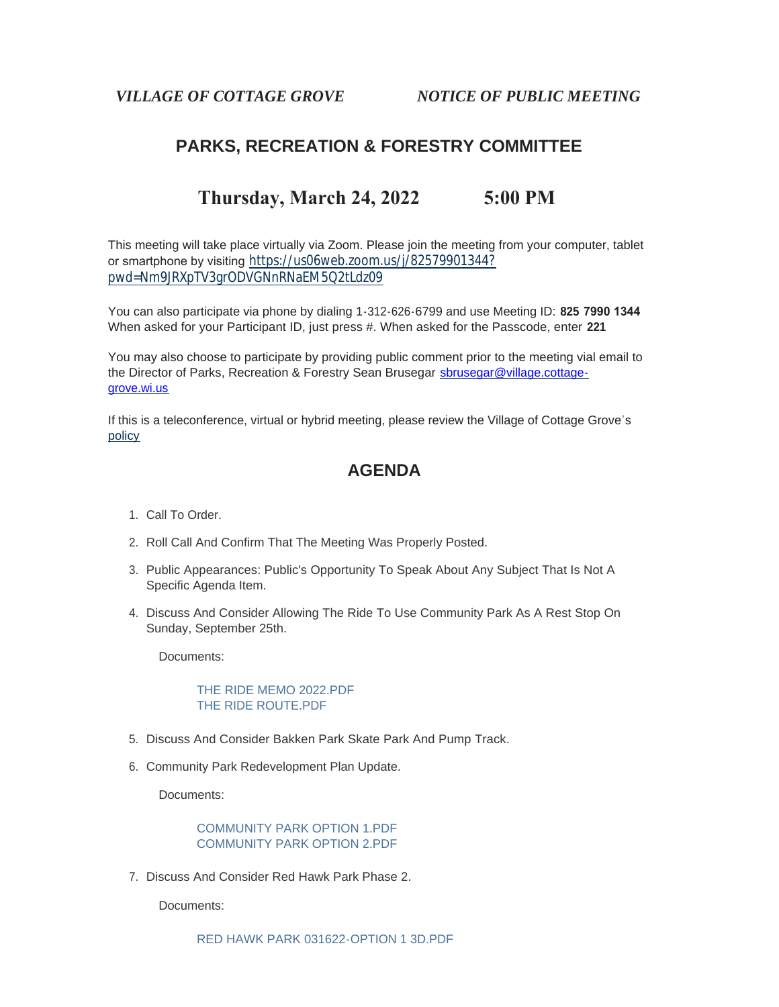## **PARKS, RECREATION & FORESTRY COMMITTEE**

# **Thursday, March 24, 2022 5:00 PM**

This meeting will take place virtually via Zoom. Please join the meeting from your computer, tablet or smartphone by visiting [https://us06web.zoom.us/j/82579901344?](https://us06web.zoom.us/j/82579901344?pwd=Nm9JRXpTV3grODVGNnRNaEM5Q2tLdz09) pwd=Nm9JRXpTV3grODVGNnRNaEM5Q2tLdz09

You can also participate via phone by dialing 1-312-626-6799 and use Meeting ID: **825 7990 1344** When asked for your Participant ID, just press #. When asked for the Passcode, enter **221**

You may also choose to participate by providing public comment prior to the meeting vial email to the Director of Parks, Recreation & Forestry Sean Brusegar sbrusegar@village.cottagegrove.wi.us

[If this](https://www.vi.cottagegrove.wi.gov/DocumentCenter/View/1850/Virtual-Hybrid-Tele-meeting-Policy-Final) is a teleconference, virtual or hybrid meeting, please review the Village of Cottage Grove's policy

### **AGENDA**

- 1. Call To Order.
- 2. Roll Call And Confirm That The Meeting Was Properly Posted.
- 3. Public Appearances: Public's Opportunity To Speak About Any Subject That Is Not A Specific Agenda Item.
- 4. Discuss And Consider Allowing The Ride To Use Community Park As A Rest Stop On Sunday, September 25th.

Documents:

[THE RIDE MEMO 2022.PDF](https://www.vi.cottagegrove.wi.gov/AgendaCenter/ViewFile/Item/9778?fileID=19337) [THE RIDE ROUTE.PDF](https://www.vi.cottagegrove.wi.gov/AgendaCenter/ViewFile/Item/9778?fileID=19338)

- 5. Discuss And Consider Bakken Park Skate Park And Pump Track.
- 6. Community Park Redevelopment Plan Update.

Documents:

[COMMUNITY PARK OPTION 1.PDF](https://www.vi.cottagegrove.wi.gov/AgendaCenter/ViewFile/Item/9792?fileID=19368) [COMMUNITY PARK OPTION 2.PDF](https://www.vi.cottagegrove.wi.gov/AgendaCenter/ViewFile/Item/9792?fileID=19369)

7. Discuss And Consider Red Hawk Park Phase 2.

Documents: